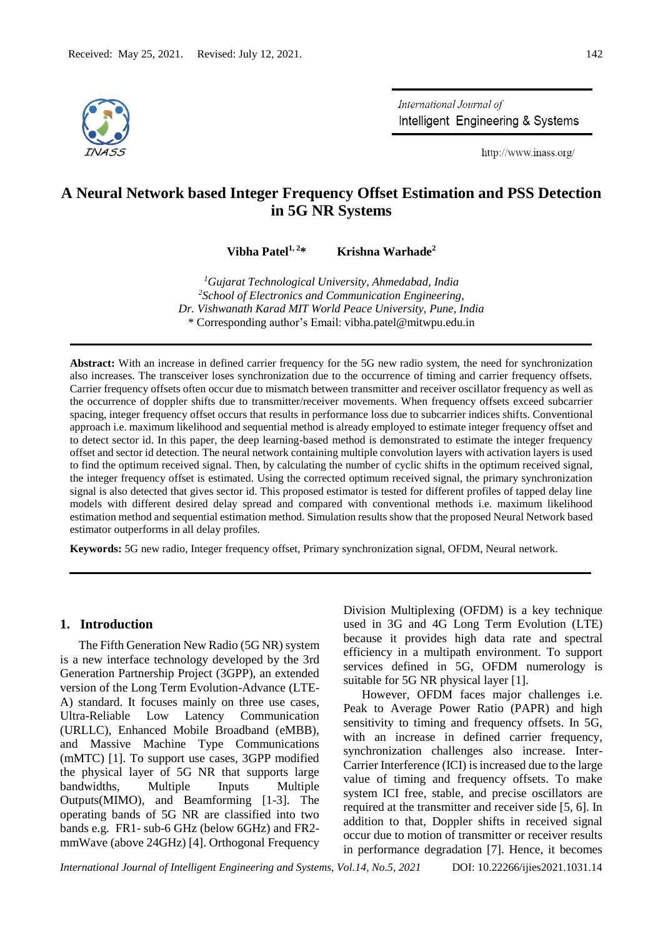

International Journal of Intelligent Engineering & Systems

http://www.inass.org/

# **A Neural Network based Integer Frequency Offset Estimation and PSS Detection in 5G NR Systems**

**Vibha Patel1, <sup>2</sup>\* Krishna Warhade<sup>2</sup>**

*<sup>1</sup>Gujarat Technological University, Ahmedabad, India 2 School of Electronics and Communication Engineering, Dr. Vishwanath Karad MIT World Peace University, Pune, India*  \* Corresponding author's Email: vibha.patel@mitwpu.edu.in

**Abstract:** With an increase in defined carrier frequency for the 5G new radio system, the need for synchronization also increases. The transceiver loses synchronization due to the occurrence of timing and carrier frequency offsets. Carrier frequency offsets often occur due to mismatch between transmitter and receiver oscillator frequency as well as the occurrence of doppler shifts due to transmitter/receiver movements. When frequency offsets exceed subcarrier spacing, integer frequency offset occurs that results in performance loss due to subcarrier indices shifts. Conventional approach i.e. maximum likelihood and sequential method is already employed to estimate integer frequency offset and to detect sector id. In this paper, the deep learning-based method is demonstrated to estimate the integer frequency offset and sector id detection. The neural network containing multiple convolution layers with activation layers is used to find the optimum received signal. Then, by calculating the number of cyclic shifts in the optimum received signal, the integer frequency offset is estimated. Using the corrected optimum received signal, the primary synchronization signal is also detected that gives sector id. This proposed estimator is tested for different profiles of tapped delay line models with different desired delay spread and compared with conventional methods i.e. maximum likelihood estimation method and sequential estimation method. Simulation results show that the proposed Neural Network based estimator outperforms in all delay profiles.

**Keywords:** 5G new radio, Integer frequency offset, Primary synchronization signal, OFDM, Neural network.

#### **1. Introduction**

The Fifth Generation New Radio (5G NR) system is a new interface technology developed by the 3rd Generation Partnership Project (3GPP), an extended version of the Long Term Evolution-Advance (LTE-A) standard. It focuses mainly on three use cases, Ultra-Reliable Low Latency Communication (URLLC), Enhanced Mobile Broadband (eMBB), and Massive Machine Type Communications (mMTC) [1]. To support use cases, 3GPP modified the physical layer of 5G NR that supports large bandwidths, Multiple Inputs Multiple Outputs(MIMO), and Beamforming [1-3]. The operating bands of 5G NR are classified into two bands e.g. FR1- sub-6 GHz (below 6GHz) and FR2 mmWave (above 24GHz) [4]. Orthogonal Frequency

Division Multiplexing (OFDM) is a key technique used in 3G and 4G Long Term Evolution (LTE) because it provides high data rate and spectral efficiency in a multipath environment. To support services defined in 5G, OFDM numerology is suitable for 5G NR physical layer [1].

However, OFDM faces major challenges i.e. Peak to Average Power Ratio (PAPR) and high sensitivity to timing and frequency offsets. In 5G, with an increase in defined carrier frequency, synchronization challenges also increase. Inter-Carrier Interference (ICI) is increased due to the large value of timing and frequency offsets. To make system ICI free, stable, and precise oscillators are required at the transmitter and receiver side [5, 6]. In addition to that, Doppler shifts in received signal occur due to motion of transmitter or receiver results in performance degradation [7]. Hence, it becomes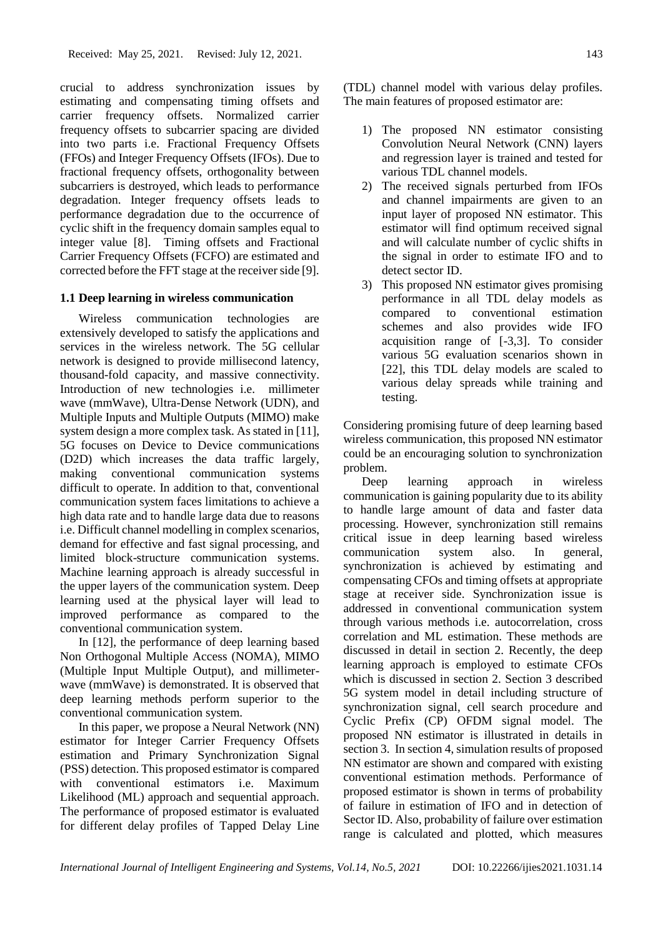crucial to address synchronization issues by estimating and compensating timing offsets and carrier frequency offsets. Normalized carrier frequency offsets to subcarrier spacing are divided into two parts i.e. Fractional Frequency Offsets (FFOs) and Integer Frequency Offsets (IFOs). Due to fractional frequency offsets, orthogonality between subcarriers is destroyed, which leads to performance degradation. Integer frequency offsets leads to performance degradation due to the occurrence of cyclic shift in the frequency domain samples equal to integer value [8]. Timing offsets and Fractional Carrier Frequency Offsets (FCFO) are estimated and corrected before the FFT stage at the receiver side [9].

# **1.1 Deep learning in wireless communication**

Wireless communication technologies are extensively developed to satisfy the applications and services in the wireless network. The 5G cellular network is designed to provide millisecond latency, thousand-fold capacity, and massive connectivity. Introduction of new technologies i.e. millimeter wave (mmWave), Ultra-Dense Network (UDN), and Multiple Inputs and Multiple Outputs (MIMO) make system design a more complex task. As stated in [11], 5G focuses on Device to Device communications (D2D) which increases the data traffic largely, making conventional communication systems difficult to operate. In addition to that, conventional communication system faces limitations to achieve a high data rate and to handle large data due to reasons i.e. Difficult channel modelling in complex scenarios, demand for effective and fast signal processing, and limited block-structure communication systems. Machine learning approach is already successful in the upper layers of the communication system. Deep learning used at the physical layer will lead to improved performance as compared to the conventional communication system.

In [12], the performance of deep learning based Non Orthogonal Multiple Access (NOMA), MIMO (Multiple Input Multiple Output), and millimeterwave (mmWave) is demonstrated. It is observed that deep learning methods perform superior to the conventional communication system.

In this paper, we propose a Neural Network (NN) estimator for Integer Carrier Frequency Offsets estimation and Primary Synchronization Signal (PSS) detection. This proposed estimator is compared with conventional estimators i.e. Maximum Likelihood (ML) approach and sequential approach. The performance of proposed estimator is evaluated for different delay profiles of Tapped Delay Line (TDL) channel model with various delay profiles. The main features of proposed estimator are:

- 1) The proposed NN estimator consisting Convolution Neural Network (CNN) layers and regression layer is trained and tested for various TDL channel models.
- 2) The received signals perturbed from IFOs and channel impairments are given to an input layer of proposed NN estimator. This estimator will find optimum received signal and will calculate number of cyclic shifts in the signal in order to estimate IFO and to detect sector ID.
- 3) This proposed NN estimator gives promising performance in all TDL delay models as compared to conventional estimation schemes and also provides wide IFO acquisition range of [-3,3]. To consider various 5G evaluation scenarios shown in [22], this TDL delay models are scaled to various delay spreads while training and testing.

Considering promising future of deep learning based wireless communication, this proposed NN estimator could be an encouraging solution to synchronization problem.

Deep learning approach in wireless communication is gaining popularity due to its ability to handle large amount of data and faster data processing. However, synchronization still remains critical issue in deep learning based wireless communication system also. In general, synchronization is achieved by estimating and compensating CFOs and timing offsets at appropriate stage at receiver side. Synchronization issue is addressed in conventional communication system through various methods i.e. autocorrelation, cross correlation and ML estimation. These methods are discussed in detail in section 2. Recently, the deep learning approach is employed to estimate CFOs which is discussed in section 2. Section 3 described 5G system model in detail including structure of synchronization signal, cell search procedure and Cyclic Prefix (CP) OFDM signal model. The proposed NN estimator is illustrated in details in section 3. In section 4, simulation results of proposed NN estimator are shown and compared with existing conventional estimation methods. Performance of proposed estimator is shown in terms of probability of failure in estimation of IFO and in detection of Sector ID. Also, probability of failure over estimation range is calculated and plotted, which measures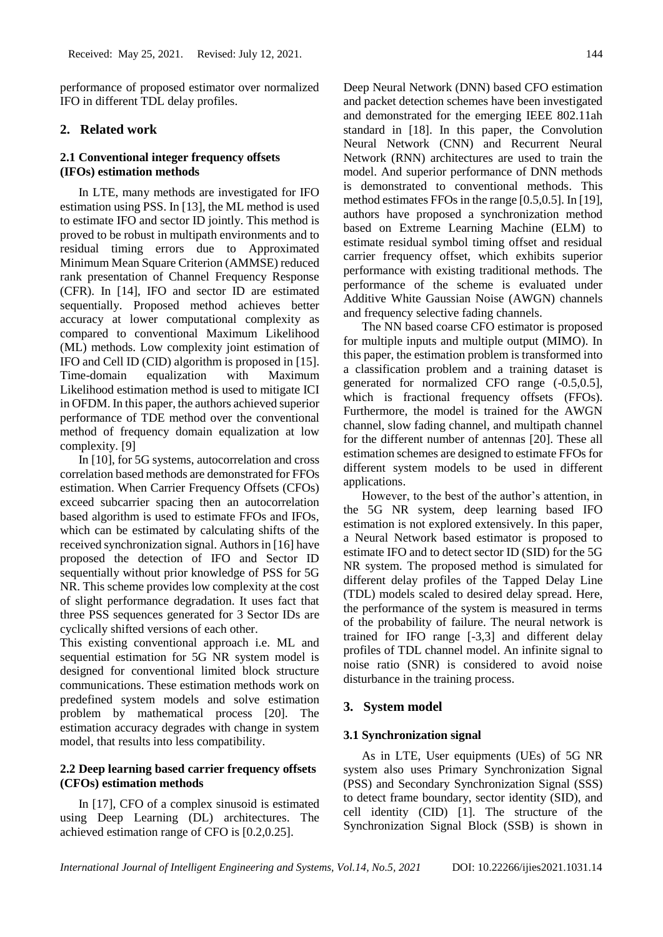performance of proposed estimator over normalized IFO in different TDL delay profiles.

### **2. Related work**

### **2.1 Conventional integer frequency offsets (IFOs) estimation methods**

In LTE, many methods are investigated for IFO estimation using PSS. In [13], the ML method is used to estimate IFO and sector ID jointly. This method is proved to be robust in multipath environments and to residual timing errors due to Approximated Minimum Mean Square Criterion (AMMSE) reduced rank presentation of Channel Frequency Response (CFR). In [14], IFO and sector ID are estimated sequentially. Proposed method achieves better accuracy at lower computational complexity as compared to conventional Maximum Likelihood (ML) methods. Low complexity joint estimation of IFO and Cell ID (CID) algorithm is proposed in [15]. Time-domain equalization with Maximum Likelihood estimation method is used to mitigate ICI in OFDM. In this paper, the authors achieved superior performance of TDE method over the conventional method of frequency domain equalization at low complexity. [9]

In [10], for 5G systems, autocorrelation and cross correlation based methods are demonstrated for FFOs estimation. When Carrier Frequency Offsets (CFOs) exceed subcarrier spacing then an autocorrelation based algorithm is used to estimate FFOs and IFOs, which can be estimated by calculating shifts of the received synchronization signal. Authors in [16] have proposed the detection of IFO and Sector ID sequentially without prior knowledge of PSS for 5G NR. This scheme provides low complexity at the cost of slight performance degradation. It uses fact that three PSS sequences generated for 3 Sector IDs are cyclically shifted versions of each other.

This existing conventional approach i.e. ML and sequential estimation for 5G NR system model is designed for conventional limited block structure communications. These estimation methods work on predefined system models and solve estimation problem by mathematical process [20]. The estimation accuracy degrades with change in system model, that results into less compatibility.

# **2.2 Deep learning based carrier frequency offsets (CFOs) estimation methods**

In [17], CFO of a complex sinusoid is estimated using Deep Learning (DL) architectures. The achieved estimation range of CFO is [0.2,0.25].

Deep Neural Network (DNN) based CFO estimation and packet detection schemes have been investigated and demonstrated for the emerging IEEE 802.11ah standard in [18]. In this paper, the Convolution Neural Network (CNN) and Recurrent Neural Network (RNN) architectures are used to train the model. And superior performance of DNN methods is demonstrated to conventional methods. This method estimates FFOs in the range [0.5,0.5]. In [19], authors have proposed a synchronization method based on Extreme Learning Machine (ELM) to estimate residual symbol timing offset and residual carrier frequency offset, which exhibits superior performance with existing traditional methods. The performance of the scheme is evaluated under Additive White Gaussian Noise (AWGN) channels and frequency selective fading channels.

The NN based coarse CFO estimator is proposed for multiple inputs and multiple output (MIMO). In this paper, the estimation problem is transformed into a classification problem and a training dataset is generated for normalized CFO range (-0.5,0.5], which is fractional frequency offsets (FFOs). Furthermore, the model is trained for the AWGN channel, slow fading channel, and multipath channel for the different number of antennas [20]. These all estimation schemes are designed to estimate FFOs for different system models to be used in different applications.

However, to the best of the author's attention, in the 5G NR system, deep learning based IFO estimation is not explored extensively. In this paper, a Neural Network based estimator is proposed to estimate IFO and to detect sector ID (SID) for the 5G NR system. The proposed method is simulated for different delay profiles of the Tapped Delay Line (TDL) models scaled to desired delay spread. Here, the performance of the system is measured in terms of the probability of failure. The neural network is trained for IFO range [-3,3] and different delay profiles of TDL channel model. An infinite signal to noise ratio (SNR) is considered to avoid noise disturbance in the training process.

# **3. System model**

# **3.1 Synchronization signal**

As in LTE, User equipments (UEs) of 5G NR system also uses Primary Synchronization Signal (PSS) and Secondary Synchronization Signal (SSS) to detect frame boundary, sector identity (SID), and cell identity (CID) [1]. The structure of the Synchronization Signal Block (SSB) is shown in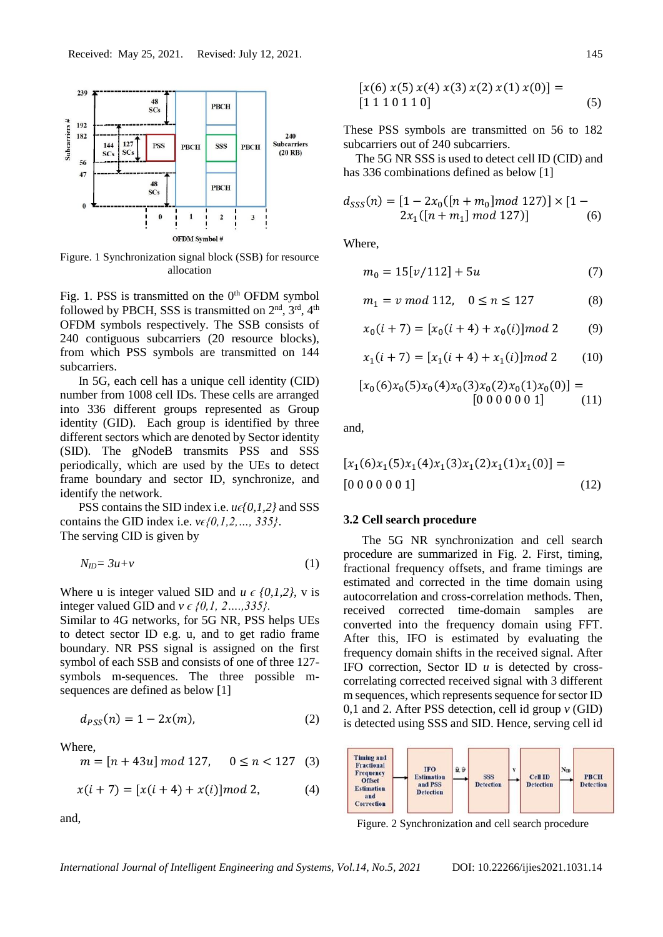

Figure. 1 Synchronization signal block (SSB) for resource allocation

Fig. 1. PSS is transmitted on the  $0<sup>th</sup>$  OFDM symbol followed by PBCH, SSS is transmitted on  $2<sup>nd</sup>$ ,  $3<sup>rd</sup>$ ,  $4<sup>th</sup>$ OFDM symbols respectively. The SSB consists of 240 contiguous subcarriers (20 resource blocks), from which PSS symbols are transmitted on 144 subcarriers.

In 5G, each cell has a unique cell identity (CID) number from 1008 cell IDs. These cells are arranged into 336 different groups represented as Group identity (GID). Each group is identified by three different sectors which are denoted by Sector identity (SID). The gNodeB transmits PSS and SSS periodically, which are used by the UEs to detect frame boundary and sector ID, synchronize, and identify the network.

PSS contains the SID index i.e. *uϵ{0,1,2}* and SSS contains the GID index i.e. *vϵ{0,1,2,…, 335}*. The serving CID is given by

$$
N_{ID} = 3u + v \tag{1}
$$

Where u is integer valued SID and  $u \in \{0,1,2\}$ , v is integer valued GID and  $v \in \{0, 1, 2, \ldots, 335\}$ .

Similar to 4G networks, for 5G NR, PSS helps UEs to detect sector ID e.g. u, and to get radio frame boundary. NR PSS signal is assigned on the first symbol of each SSB and consists of one of three 127 symbols m-sequences. The three possible msequences are defined as below [1]

$$
d_{PSS}(n) = 1 - 2x(m),\tag{2}
$$

Where,

$$
m = [n + 43u] \text{ mod } 127, \quad 0 \le n < 127 \tag{3}
$$

$$
x(i + 7) = [x(i + 4) + x(i)] \mod 2, \tag{4}
$$

and,

$$
[x(6) x(5) x(4) x(3) x(2) x(1) x(0)] = [1 1 1 0 1 1 0]
$$
 (5)

These PSS symbols are transmitted on 56 to 182 subcarriers out of 240 subcarriers.

The 5G NR SSS is used to detect cell ID (CID) and has 336 combinations defined as below [1]

$$
d_{SSS}(n) = [1 - 2x_0([n + m_0]mod 127)] \times [1 - 2x_1([n + m_1]mod 127)] \tag{6}
$$

Where,

$$
m_0 = 15[v/112] + 5u\tag{7}
$$

$$
m_1 = v \mod 112, \quad 0 \le n \le 127 \tag{8}
$$

$$
x_0(i + 7) = [x_0(i + 4) + x_0(i)] \mod 2 \tag{9}
$$

$$
x_1(i + 7) = [x_1(i + 4) + x_1(i)] \mod 2 \qquad (10)
$$

$$
[x_0(6)x_0(5)x_0(4)x_0(3)x_0(2)x_0(1)x_0(0)] = [0 0 0 0 0 1] \tag{11}
$$

and,

$$
[x_1(6)x_1(5)x_1(4)x_1(3)x_1(2)x_1(1)x_1(0)] = [0 0 0 0 0 0 1]
$$
\n(12)

#### **3.2 Cell search procedure**

The 5G NR synchronization and cell search procedure are summarized in Fig. 2. First, timing, fractional frequency offsets, and frame timings are estimated and corrected in the time domain using autocorrelation and cross-correlation methods. Then, received corrected time-domain samples are converted into the frequency domain using FFT. After this, IFO is estimated by evaluating the frequency domain shifts in the received signal. After IFO correction, Sector ID *u* is detected by crosscorrelating corrected received signal with 3 different m sequences, which represents sequence for sector ID 0,1 and 2. After PSS detection, cell id group *v* (GID) is detected using SSS and SID. Hence, serving cell id



Figure. 2 Synchronization and cell search procedure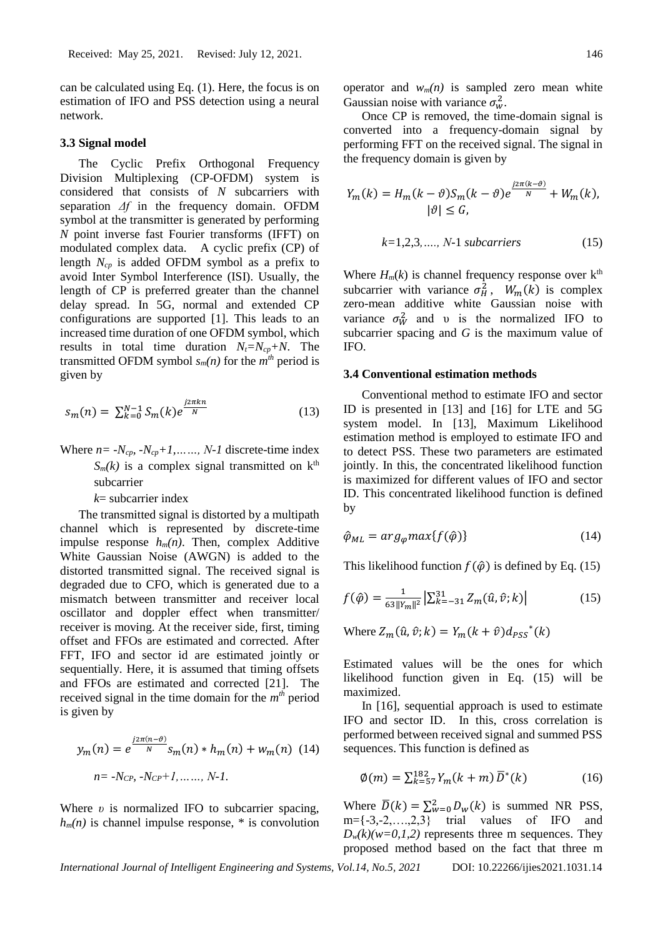can be calculated using Eq. (1). Here, the focus is on estimation of IFO and PSS detection using a neural network.

#### **3.3 Signal model**

The Cyclic Prefix Orthogonal Frequency Division Multiplexing (CP-OFDM) system is considered that consists of *N* subcarriers with separation *Δf* in the frequency domain. OFDM symbol at the transmitter is generated by performing *N* point inverse fast Fourier transforms (IFFT) on modulated complex data. A cyclic prefix (CP) of length  $N_{cp}$  is added OFDM symbol as a prefix to avoid Inter Symbol Interference (ISI). Usually, the length of CP is preferred greater than the channel delay spread. In 5G, normal and extended CP configurations are supported [1]. This leads to an increased time duration of one OFDM symbol, which results in total time duration  $N_t = N_{cp} + N$ . The transmitted OFDM symbol  $s_m(n)$  for the  $m^{th}$  period is given by

$$
s_m(n) = \sum_{k=0}^{N-1} S_m(k) e^{\frac{j2\pi kn}{N}}
$$
 (13)

- Where  $n = -N_{cp}$ ,  $-N_{cp} + 1$ , ..., N-1 discrete-time index  $S_m(k)$  is a complex signal transmitted on  $k^{\text{th}}$ subcarrier
	- *k*= subcarrier index

The transmitted signal is distorted by a multipath channel which is represented by discrete-time impulse response  $h_m(n)$ . Then, complex Additive White Gaussian Noise (AWGN) is added to the distorted transmitted signal. The received signal is degraded due to CFO, which is generated due to a mismatch between transmitter and receiver local oscillator and doppler effect when transmitter/ receiver is moving. At the receiver side, first, timing offset and FFOs are estimated and corrected. After FFT, IFO and sector id are estimated jointly or sequentially. Here, it is assumed that timing offsets and FFOs are estimated and corrected [21]. The received signal in the time domain for the *m th* period is given by

$$
y_m(n) = e^{\frac{j2\pi(n-\vartheta)}{N}} s_m(n) * h_m(n) + w_m(n)
$$
 (14)  

$$
n = -N_{CP}, -N_{CP}+1, \dots, N-1.
$$

Where *υ* is normalized IFO to subcarrier spacing,  $h_m(n)$  is channel impulse response,  $*$  is convolution operator and  $w_m(n)$  is sampled zero mean white Gaussian noise with variance  $\sigma_w^2$ .

Once CP is removed, the time-domain signal is converted into a frequency-domain signal by performing FFT on the received signal. The signal in the frequency domain is given by

$$
Y_m(k) = H_m(k - \vartheta)S_m(k - \vartheta)e^{\frac{j2\pi(k - \vartheta)}{N}} + W_m(k),
$$
  
 
$$
|\vartheta| \le G,
$$

$$
k=1,2,3, \ldots, N-1 subcarriers
$$
 (15)

Where  $H_m(k)$  is channel frequency response over  $k<sup>th</sup>$ subcarrier with variance  $\sigma_H^2$ ,  $W_m(k)$  is complex zero-mean additive white Gaussian noise with variance  $\sigma_W^2$  and v is the normalized IFO to subcarrier spacing and *G* is the maximum value of IFO.

### **3.4 Conventional estimation methods**

Conventional method to estimate IFO and sector ID is presented in [13] and [16] for LTE and 5G system model. In [13], Maximum Likelihood estimation method is employed to estimate IFO and to detect PSS. These two parameters are estimated jointly. In this, the concentrated likelihood function is maximized for different values of IFO and sector ID. This concentrated likelihood function is defined by

$$
\hat{\varphi}_{ML} = arg_{\varphi} max\{f(\hat{\varphi})\}
$$
\n(14)

This likelihood function  $f(\hat{\varphi})$  is defined by Eq. (15)

$$
f(\hat{\varphi}) = \frac{1}{63\|Y_m\|^2} \left| \sum_{k=-31}^{31} Z_m(\hat{u}, \hat{v}; k) \right| \tag{15}
$$

Where 
$$
Z_m(\hat{u}, \hat{v}; k) = Y_m(k + \hat{v}) d_{PSS}^*(k)
$$

Estimated values will be the ones for which likelihood function given in Eq. (15) will be maximized.

In [16], sequential approach is used to estimate IFO and sector ID. In this, cross correlation is performed between received signal and summed PSS sequences. This function is defined as

$$
\emptyset(m) = \sum_{k=57}^{182} Y_m(k+m) \,\overline{D}^*(k) \tag{16}
$$

Where  $\overline{D}(k) = \sum_{w=0}^{n} D_w(k)$  is summed NR PSS,  $m=\{-3,-2,\ldots,2,3\}$  trial values of IFO and  $D_w(k)(w=0,1,2)$  represents three m sequences. They proposed method based on the fact that three m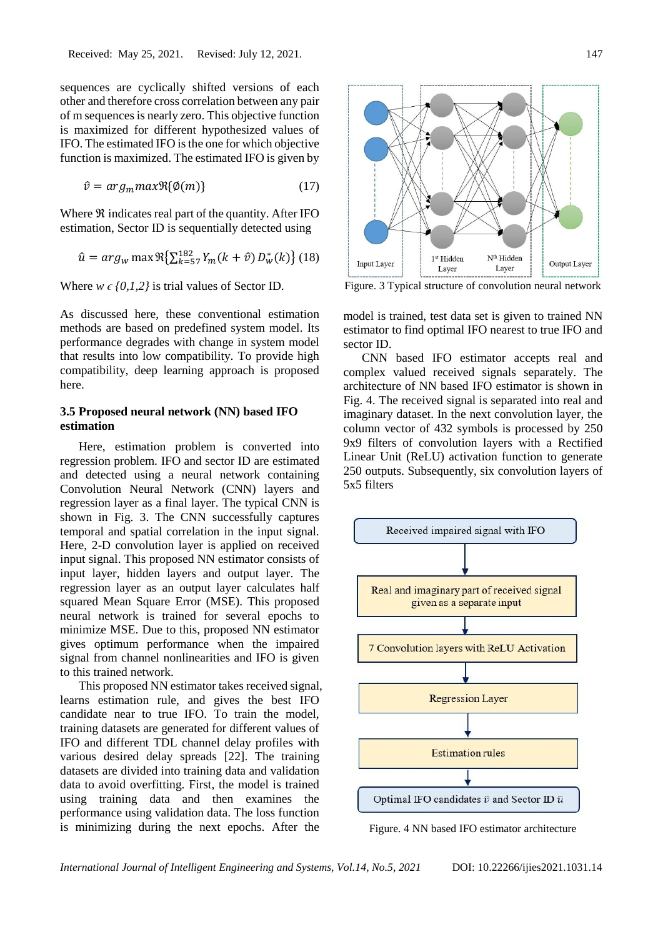sequences are cyclically shifted versions of each other and therefore cross correlation between any pair of m sequences is nearly zero. This objective function is maximized for different hypothesized values of IFO. The estimated IFO is the one for which objective function is maximized. The estimated IFO is given by

$$
\hat{v} = arg_m max \Re{\{\phi(m)\}} \tag{17}
$$

Where  $\Re$  indicates real part of the quantity. After IFO estimation, Sector ID is sequentially detected using

$$
\hat{u} = arg_w \max \Re{\sum_{k=57}^{182} Y_m(k+\hat{v}) D_w^*(k)} \tag{18}
$$

Where  $w \in \{0,1,2\}$  is trial values of Sector ID.

As discussed here, these conventional estimation methods are based on predefined system model. Its performance degrades with change in system model that results into low compatibility. To provide high compatibility, deep learning approach is proposed here.

# **3.5 Proposed neural network (NN) based IFO estimation**

Here, estimation problem is converted into regression problem. IFO and sector ID are estimated and detected using a neural network containing Convolution Neural Network (CNN) layers and regression layer as a final layer. The typical CNN is shown in Fig. 3. The CNN successfully captures temporal and spatial correlation in the input signal. Here, 2-D convolution layer is applied on received input signal. This proposed NN estimator consists of input layer, hidden layers and output layer. The regression layer as an output layer calculates half squared Mean Square Error (MSE). This proposed neural network is trained for several epochs to minimize MSE. Due to this, proposed NN estimator gives optimum performance when the impaired signal from channel nonlinearities and IFO is given to this trained network.

This proposed NN estimator takes received signal, learns estimation rule, and gives the best IFO candidate near to true IFO. To train the model, training datasets are generated for different values of IFO and different TDL channel delay profiles with various desired delay spreads [22]. The training datasets are divided into training data and validation data to avoid overfitting. First, the model is trained using training data and then examines the performance using validation data. The loss function is minimizing during the next epochs. After the



Figure. 3 Typical structure of convolution neural network

model is trained, test data set is given to trained NN estimator to find optimal IFO nearest to true IFO and sector ID.

CNN based IFO estimator accepts real and complex valued received signals separately. The architecture of NN based IFO estimator is shown in Fig. 4. The received signal is separated into real and imaginary dataset. In the next convolution layer, the column vector of 432 symbols is processed by 250 9x9 filters of convolution layers with a Rectified Linear Unit (ReLU) activation function to generate 250 outputs. Subsequently, six convolution layers of 5x5 filters



Figure. 4 NN based IFO estimator architecture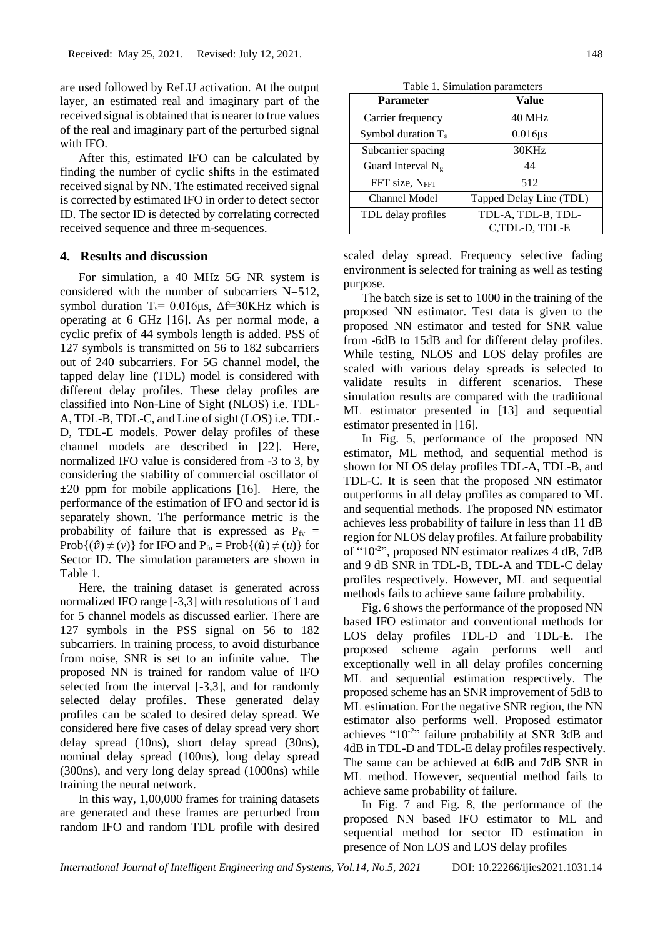are used followed by ReLU activation. At the output layer, an estimated real and imaginary part of the received signal is obtained that is nearer to true values of the real and imaginary part of the perturbed signal with IFO.

After this, estimated IFO can be calculated by finding the number of cyclic shifts in the estimated received signal by NN. The estimated received signal is corrected by estimated IFO in order to detect sector ID. The sector ID is detected by correlating corrected received sequence and three m-sequences.

### **4. Results and discussion**

For simulation, a 40 MHz 5G NR system is considered with the number of subcarriers N=512, symbol duration  $T_s$ = 0.016μs,  $\Delta f$ =30KHz which is operating at 6 GHz [16]. As per normal mode, a cyclic prefix of 44 symbols length is added. PSS of 127 symbols is transmitted on 56 to 182 subcarriers out of 240 subcarriers. For 5G channel model, the tapped delay line (TDL) model is considered with different delay profiles. These delay profiles are classified into Non-Line of Sight (NLOS) i.e. TDL-A, TDL-B, TDL-C, and Line of sight (LOS) i.e. TDL-D, TDL-E models. Power delay profiles of these channel models are described in [22]. Here, normalized IFO value is considered from -3 to 3, by considering the stability of commercial oscillator of  $\pm 20$  ppm for mobile applications [16]. Here, the performance of the estimation of IFO and sector id is separately shown. The performance metric is the probability of failure that is expressed as  $P_{f_v}$  =  $Prob({\hat{v}}) \neq (v)$  for IFO and  $P_{fu} = Prob({\hat{u}}) \neq (u)$  for Sector ID. The simulation parameters are shown in Table 1.

Here, the training dataset is generated across normalized IFO range [-3,3] with resolutions of 1 and for 5 channel models as discussed earlier. There are 127 symbols in the PSS signal on 56 to 182 subcarriers. In training process, to avoid disturbance from noise, SNR is set to an infinite value. The proposed NN is trained for random value of IFO selected from the interval [-3,3], and for randomly selected delay profiles. These generated delay profiles can be scaled to desired delay spread. We considered here five cases of delay spread very short delay spread (10ns), short delay spread (30ns), nominal delay spread (100ns), long delay spread (300ns), and very long delay spread (1000ns) while training the neural network.

In this way, 1,00,000 frames for training datasets are generated and these frames are perturbed from random IFO and random TDL profile with desired

Table 1. Simulation parameters

| ruole 1: Shihannon parameters  |                         |
|--------------------------------|-------------------------|
| <b>Parameter</b>               | Value                   |
| Carrier frequency              | 40 MHz                  |
| Symbol duration T <sub>s</sub> | $0.016\mu s$            |
| Subcarrier spacing             | 30KHz                   |
| Guard Interval $N_g$           | 44                      |
| FFT size, NFFT                 | 512                     |
| <b>Channel Model</b>           | Tapped Delay Line (TDL) |
| TDL delay profiles             | TDL-A, TDL-B, TDL-      |
|                                | C,TDL-D, TDL-E          |

scaled delay spread. Frequency selective fading environment is selected for training as well as testing purpose.

The batch size is set to 1000 in the training of the proposed NN estimator. Test data is given to the proposed NN estimator and tested for SNR value from -6dB to 15dB and for different delay profiles. While testing, NLOS and LOS delay profiles are scaled with various delay spreads is selected to validate results in different scenarios. These simulation results are compared with the traditional ML estimator presented in [13] and sequential estimator presented in [16].

In Fig. 5, performance of the proposed NN estimator, ML method, and sequential method is shown for NLOS delay profiles TDL-A, TDL-B, and TDL-C. It is seen that the proposed NN estimator outperforms in all delay profiles as compared to ML and sequential methods. The proposed NN estimator achieves less probability of failure in less than 11 dB region for NLOS delay profiles. At failure probability of "10<sup>-2</sup>", proposed NN estimator realizes 4 dB, 7dB and 9 dB SNR in TDL-B, TDL-A and TDL-C delay profiles respectively. However, ML and sequential methods fails to achieve same failure probability.

Fig. 6 shows the performance of the proposed NN based IFO estimator and conventional methods for LOS delay profiles TDL-D and TDL-E. The proposed scheme again performs well and exceptionally well in all delay profiles concerning ML and sequential estimation respectively. The proposed scheme has an SNR improvement of 5dB to ML estimation. For the negative SNR region, the NN estimator also performs well. Proposed estimator achieves "10<sup>-2</sup>" failure probability at SNR 3dB and 4dB in TDL-D and TDL-E delay profiles respectively. The same can be achieved at 6dB and 7dB SNR in ML method. However, sequential method fails to achieve same probability of failure.

In Fig. 7 and Fig. 8, the performance of the proposed NN based IFO estimator to ML and sequential method for sector ID estimation in presence of Non LOS and LOS delay profiles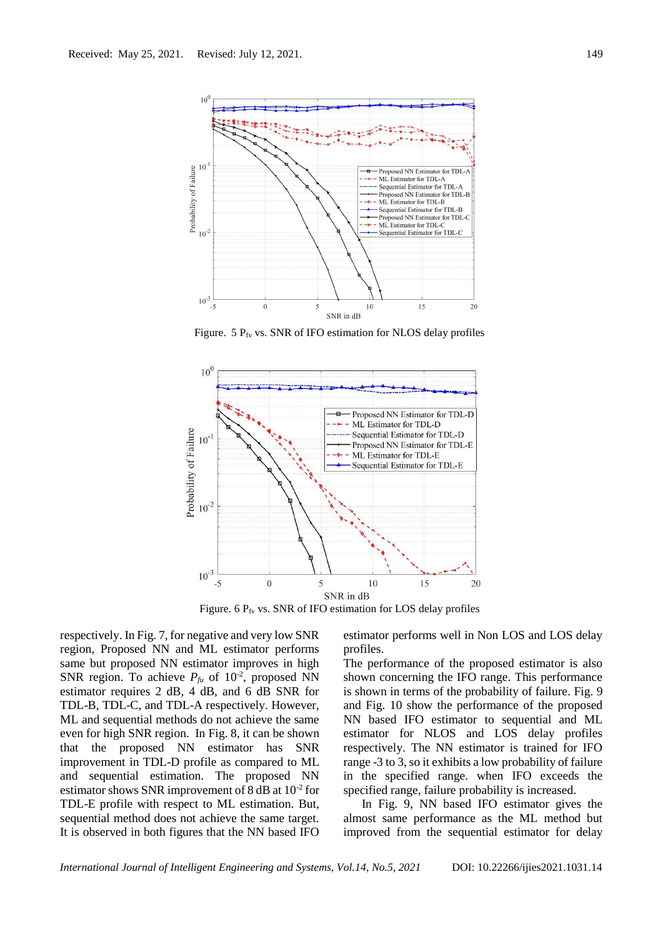

Figure.  $5 P_{fv}$  vs. SNR of IFO estimation for NLOS delay profiles



Figure. 6  $P_{fv}$  vs. SNR of IFO estimation for LOS delay profiles

respectively. In Fig. 7, for negative and very low SNR region, Proposed NN and ML estimator performs same but proposed NN estimator improves in high SNR region. To achieve  $P_{\text{fu}}$  of 10<sup>-2</sup>, proposed NN estimator requires 2 dB, 4 dB, and 6 dB SNR for TDL-B, TDL-C, and TDL-A respectively. However, ML and sequential methods do not achieve the same even for high SNR region. In Fig. 8, it can be shown that the proposed NN estimator has SNR improvement in TDL-D profile as compared to ML and sequential estimation. The proposed NN estimator shows SNR improvement of 8 dB at 10<sup>-2</sup> for TDL-E profile with respect to ML estimation. But, sequential method does not achieve the same target. It is observed in both figures that the NN based IFO

estimator performs well in Non LOS and LOS delay profiles.

The performance of the proposed estimator is also shown concerning the IFO range. This performance is shown in terms of the probability of failure. Fig. 9 and Fig. 10 show the performance of the proposed NN based IFO estimator to sequential and ML estimator for NLOS and LOS delay profiles respectively. The NN estimator is trained for IFO range -3 to 3, so it exhibits a low probability of failure in the specified range. when IFO exceeds the specified range, failure probability is increased.

In Fig. 9, NN based IFO estimator gives the almost same performance as the ML method but improved from the sequential estimator for delay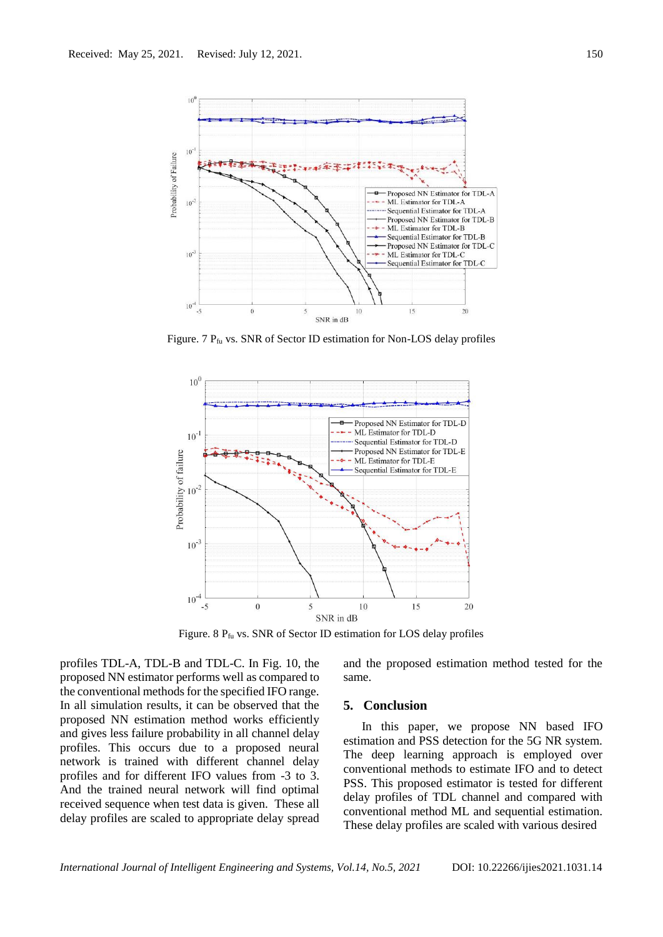

Figure. 7 P<sub>fu</sub> vs. SNR of Sector ID estimation for Non-LOS delay profiles



Figure. 8  $P_{fu}$  vs. SNR of Sector ID estimation for LOS delay profiles

profiles TDL-A, TDL-B and TDL-C. In Fig. 10, the proposed NN estimator performs well as compared to the conventional methods for the specified IFO range. In all simulation results, it can be observed that the proposed NN estimation method works efficiently and gives less failure probability in all channel delay profiles. This occurs due to a proposed neural network is trained with different channel delay profiles and for different IFO values from -3 to 3. And the trained neural network will find optimal received sequence when test data is given. These all delay profiles are scaled to appropriate delay spread

and the proposed estimation method tested for the same.

#### **5. Conclusion**

In this paper, we propose NN based IFO estimation and PSS detection for the 5G NR system. The deep learning approach is employed over conventional methods to estimate IFO and to detect PSS. This proposed estimator is tested for different delay profiles of TDL channel and compared with conventional method ML and sequential estimation. These delay profiles are scaled with various desired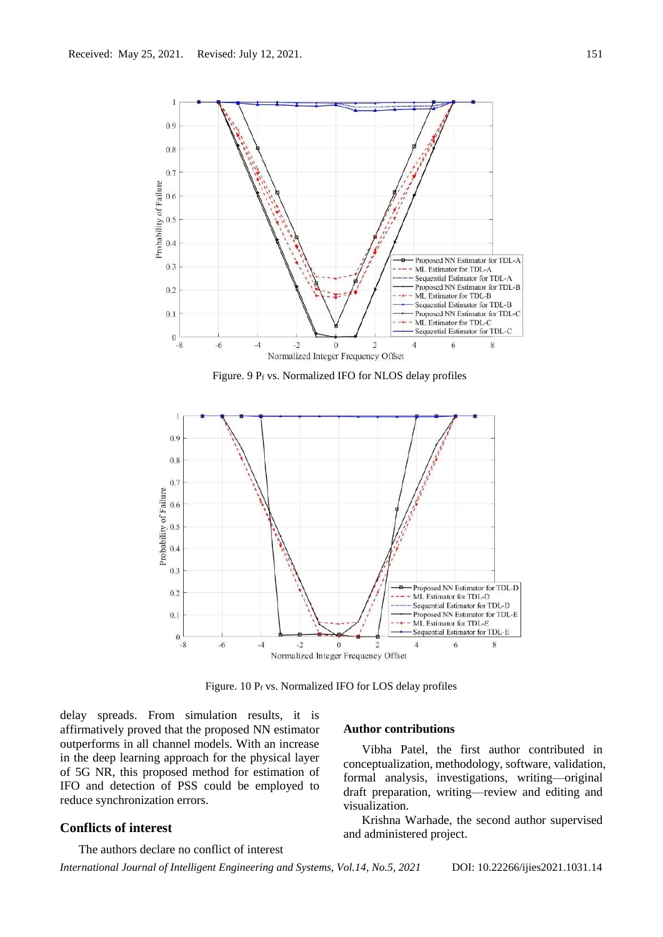

Figure. 9  $P_f$  vs. Normalized IFO for NLOS delay profiles



Figure. 10  $P_f$  vs. Normalized IFO for LOS delay profiles

delay spreads. From simulation results, it is affirmatively proved that the proposed NN estimator outperforms in all channel models. With an increase in the deep learning approach for the physical layer of 5G NR, this proposed method for estimation of IFO and detection of PSS could be employed to reduce synchronization errors.

# **Conflicts of interest**

The authors declare no conflict of interest

### **Author contributions**

Vibha Patel, the first author contributed in conceptualization, methodology, software, validation, formal analysis, investigations, writing—original draft preparation, writing—review and editing and visualization.

Krishna Warhade, the second author supervised and administered project.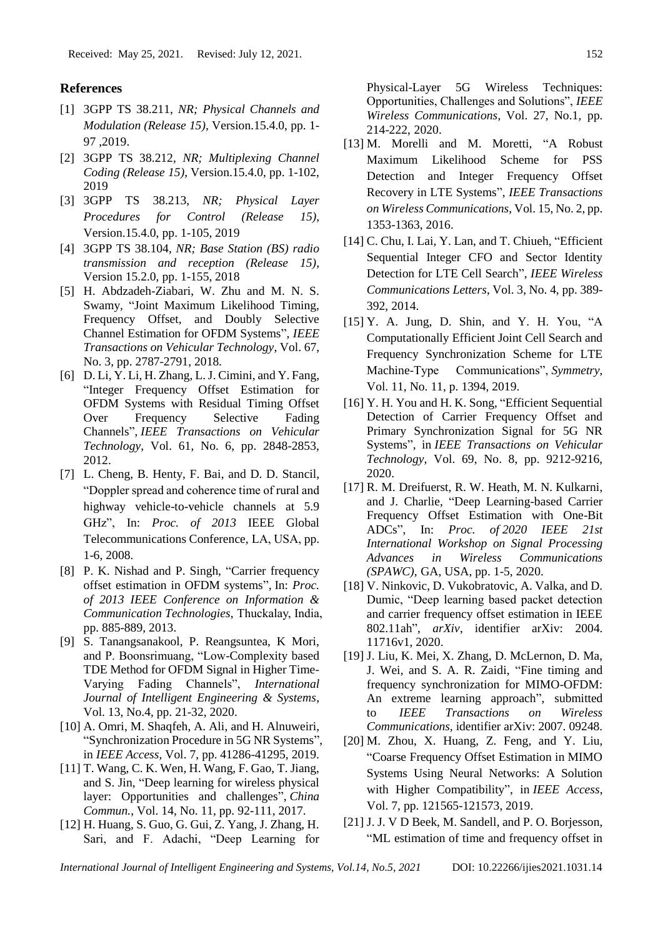# **References**

- [1] 3GPP TS 38.211, *NR; Physical Channels and Modulation (Release 15),* Version.15.4.0, pp. 1- 97 ,2019.
- [2] 3GPP TS 38.212, *NR; Multiplexing Channel Coding (Release 15)*, Version.15.4.0, pp. 1-102, 2019
- [3] 3GPP TS 38.213, *NR; Physical Layer Procedures for Control (Release 15)*, Version.15.4.0, pp. 1-105, 2019
- [4] 3GPP TS 38.104, *NR; Base Station (BS) radio transmission and reception (Release 15),* Version 15.2.0, pp. 1-155, 2018
- [5] H. Abdzadeh-Ziabari, W. Zhu and M. N. S. Swamy, "Joint Maximum Likelihood Timing, Frequency Offset, and Doubly Selective Channel Estimation for OFDM Systems", *IEEE Transactions on Vehicular Technology*, Vol. 67, No. 3, pp. 2787-2791, 2018.
- [6] D. Li, Y. Li, H. Zhang, L. J. Cimini, and Y. Fang, "Integer Frequency Offset Estimation for OFDM Systems with Residual Timing Offset Over Frequency Selective Fading Channels", *IEEE Transactions on Vehicular Technology*, Vol. 61, No. 6, pp. 2848-2853, 2012.
- [7] L. Cheng, B. Henty, F. Bai, and D. D. Stancil, "Doppler spread and coherence time of rural and highway vehicle-to-vehicle channels at 5.9 GHz", In: *Proc. of 2013* IEEE Global Telecommunications Conference, LA, USA, pp. 1-6, 2008.
- [8] P. K. Nishad and P. Singh, "Carrier frequency offset estimation in OFDM systems", In: *Proc. of 2013 IEEE Conference on Information & Communication Technologies*, Thuckalay, India, pp. 885-889, 2013.
- [9] S. Tanangsanakool, P. Reangsuntea, K Mori, and P. Boonsrimuang, "Low-Complexity based TDE Method for OFDM Signal in Higher Time-Varying Fading Channels", *International Journal of Intelligent Engineering & Systems*, Vol. 13, No.4, pp. 21-32, 2020.
- [10] A. Omri, M. Shaqfeh, A. Ali, and H. Alnuweiri, "Synchronization Procedure in 5G NR Systems", in *IEEE Access*, Vol. 7, pp. 41286-41295, 2019.
- [11] T. Wang, C. K. Wen, H. Wang, F. Gao, T. Jiang, and S. Jin, "Deep learning for wireless physical layer: Opportunities and challenges", *China Commun.*, Vol. 14, No. 11, pp. 92-111, 2017.
- [12] H. Huang, S. Guo, G. Gui, Z. Yang, J. Zhang, H. Sari, and F. Adachi, "Deep Learning for

Physical-Layer 5G Wireless Techniques: Opportunities, Challenges and Solutions", *IEEE Wireless Communications*, Vol. 27, No.1, pp. 214-222, 2020.

- [13] M. Morelli and M. Moretti, "A Robust Maximum Likelihood Scheme for PSS Detection and Integer Frequency Offset Recovery in LTE Systems", *IEEE Transactions on Wireless Communications*, Vol. 15, No. 2, pp. 1353-1363, 2016.
- [14] C. Chu, I. Lai, Y. Lan, and T. Chiueh, "Efficient Sequential Integer CFO and Sector Identity Detection for LTE Cell Search", *IEEE Wireless Communications Letters*, Vol. 3, No. 4, pp. 389- 392, 2014.
- [15] Y. A. Jung, D. Shin, and Y. H. You, "A Computationally Efficient Joint Cell Search and Frequency Synchronization Scheme for LTE Machine-Type Communications", *Symmetry*, Vol. 11, No. 11, p. 1394, 2019.
- [16] Y. H. You and H. K. Song, "Efficient Sequential Detection of Carrier Frequency Offset and Primary Synchronization Signal for 5G NR Systems", in *IEEE Transactions on Vehicular Technology*, Vol. 69, No. 8, pp. 9212-9216, 2020.
- [17] R. M. Dreifuerst, R. W. Heath, M. N. Kulkarni, and J. Charlie, "Deep Learning-based Carrier Frequency Offset Estimation with One-Bit ADCs", In: *Proc. of 2020 IEEE 21st International Workshop on Signal Processing Advances in Wireless Communications (SPAWC)*, GA, USA, pp. 1-5, 2020.
- [18] V. Ninkovic, D. Vukobratovic, A. Valka, and D. Dumic, "Deep learning based packet detection and carrier frequency offset estimation in IEEE 802.11ah", *arXiv*, identifier arXiv: 2004. 11716v1, 2020.
- [19] J. Liu, K. Mei, X. Zhang, D. McLernon, D. Ma, J. Wei, and S. A. R. Zaidi, "Fine timing and frequency synchronization for MIMO-OFDM: An extreme learning approach", submitted to *IEEE Transactions on Wireless Communications,* identifier arXiv: 2007. [09248.](https://arxiv.org/abs/2007.09248)
- [20] M. Zhou, X. Huang, Z. Feng, and Y. Liu, "Coarse Frequency Offset Estimation in MIMO Systems Using Neural Networks: A Solution with Higher Compatibility", in *IEEE Access*, Vol. 7, pp. 121565-121573, 2019.
- [21] J. J. V D Beek, M. Sandell, and P. O. Borjesson, "ML estimation of time and frequency offset in